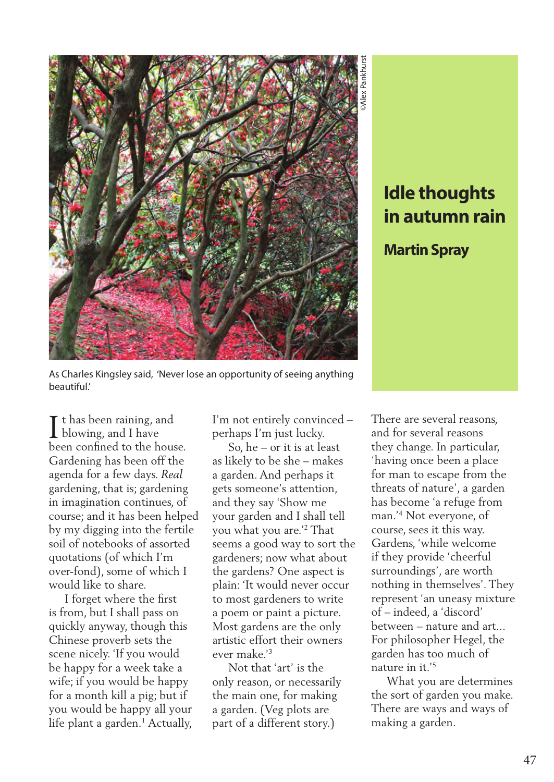

## **in autumn rain**

## **Martin Spray**

As Charles Kingsley said, 'Never lose an opportunity of seeing anything beautiful.'

t has been raining, and I t has been raining, and I have been confined to the house. Gardening has been off the agenda for a few days. *Real*  gardening, that is; gardening in imagination continues, of course; and it has been helped by my digging into the fertile soil of notebooks of assorted quotations (of which I'm over-fond), some of which I would like to share.

 I forget where the first is from, but I shall pass on quickly anyway, though this Chinese proverb sets the scene nicely. 'If you would be happy for a week take a wife; if you would be happy for a month kill a pig; but if you would be happy all your life plant a garden.<sup>1</sup> Actually, I'm not entirely convinced – perhaps I'm just lucky.

 So, he – or it is at least as likely to be she – makes a garden. And perhaps it gets someone's attention, and they say 'Show me your garden and I shall tell you what you are.'2 That seems a good way to sort the gardeners; now what about the gardens? One aspect is plain: 'It would never occur to most gardeners to write a poem or paint a picture. Most gardens are the only artistic effort their owners ever make.'3

 Not that 'art' is the only reason, or necessarily the main one, for making a garden. (Veg plots are part of a different story.)

**In autumn rain**<br> **in autumn rain**<br> **Martin Spray**<br>
erere are several reasons,<br>
everal reasons,<br>
everal reasons,<br>
everal reasons,<br>
everal reasons,<br>
everal reasons<br>
everals of nature', a garden<br>
secome 'a refuge from the<br>
s There are several reasons, and for several reasons they change. In particular, 'having once been a place for man to escape from the threats of nature', a garden has become 'a refuge from man.'4 Not everyone, of course, sees it this way. Gardens, 'while welcome if they provide 'cheerful surroundings', are worth nothing in themselves'. They represent 'an uneasy mixture of – indeed, a 'discord' between – nature and art... For philosopher Hegel, the garden has too much of nature in it.'5

 What you are determines the sort of garden you make. There are ways and ways of making a garden.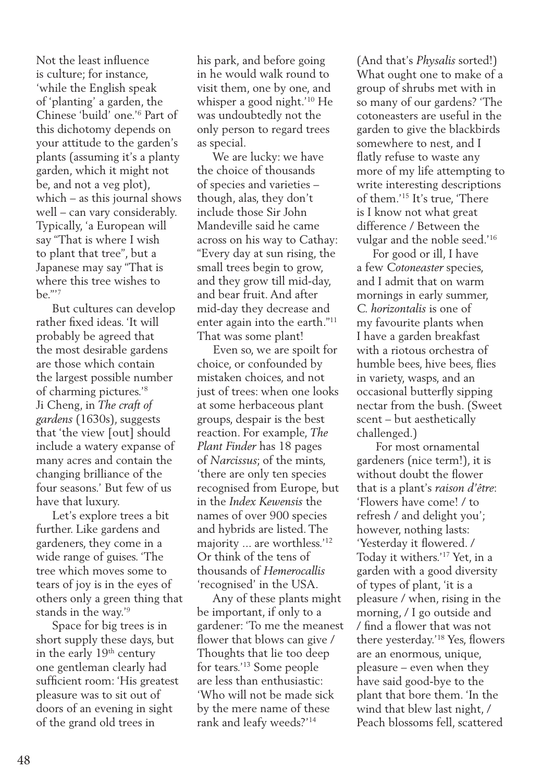Not the least influence is culture; for instance, 'while the English speak of 'planting' a garden, the Chinese 'build' one.'6 Part of this dichotomy depends on your attitude to the garden's plants (assuming it's a planty garden, which it might not be, and not a veg plot), which – as this journal shows well – can vary considerably. Typically, 'a European will say "That is where I wish to plant that tree", but a Japanese may say "That is where this tree wishes to be."'7

 But cultures can develop rather fixed ideas. 'It will probably be agreed that the most desirable gardens are those which contain the largest possible number of charming pictures.'8 Ji Cheng, in *The craft of gardens* (1630s), suggests that 'the view [out] should include a watery expanse of many acres and contain the changing brilliance of the four seasons.' But few of us have that luxury.

 Let's explore trees a bit further. Like gardens and gardeners, they come in a wide range of guises. 'The tree which moves some to tears of joy is in the eyes of others only a green thing that stands in the way.'9

 Space for big trees is in short supply these days, but in the early 19th century one gentleman clearly had sufficient room: 'His greatest pleasure was to sit out of doors of an evening in sight of the grand old trees in

his park, and before going in he would walk round to visit them, one by one, and whisper a good night.'10 He was undoubtedly not the only person to regard trees as special.

 We are lucky: we have the choice of thousands of species and varieties – though, alas, they don't include those Sir John Mandeville said he came across on his way to Cathay: "Every day at sun rising, the small trees begin to grow, and they grow till mid-day, and bear fruit. And after mid-day they decrease and enter again into the earth."11 That was some plant!

 Even so, we are spoilt for choice, or confounded by mistaken choices, and not just of trees: when one looks at some herbaceous plant groups, despair is the best reaction. For example, *The Plant Finder* has 18 pages of *Narcissus*; of the mints, 'there are only ten species recognised from Europe, but in the *Index Kewensis* the names of over 900 species and hybrids are listed. The majority ... are worthless.'12 Or think of the tens of thousands of *Hemerocallis* 'recognised' in the USA.

 Any of these plants might be important, if only to a gardener: 'To me the meanest flower that blows can give / Thoughts that lie too deep for tears.'13 Some people are less than enthusiastic: 'Who will not be made sick by the mere name of these rank and leafy weeds?'14

(And that's *Physalis* sorted!) What ought one to make of a group of shrubs met with in so many of our gardens? 'The cotoneasters are useful in the garden to give the blackbirds somewhere to nest, and I flatly refuse to waste any more of my life attempting to write interesting descriptions of them.'15 It's true, 'There is I know not what great difference / Between the vulgar and the noble seed.'16

 For good or ill, I have a few *Cotoneaster* species, and I admit that on warm mornings in early summer, *C. horizontalis* is one of my favourite plants when I have a garden breakfast with a riotous orchestra of humble bees, hive bees, flies in variety, wasps, and an occasional butterfly sipping nectar from the bush. (Sweet scent – but aesthetically challenged.)

 For most ornamental gardeners (nice term!), it is without doubt the flower that is a plant's *raison d'être*: 'Flowers have come! / to refresh / and delight you'; however, nothing lasts: 'Yesterday it flowered. / Today it withers.'17 Yet, in a garden with a good diversity of types of plant, 'it is a pleasure / when, rising in the morning, / I go outside and / find a flower that was not there yesterday.'18 Yes, flowers are an enormous, unique, pleasure – even when they have said good-bye to the plant that bore them. 'In the wind that blew last night, / Peach blossoms fell, scattered